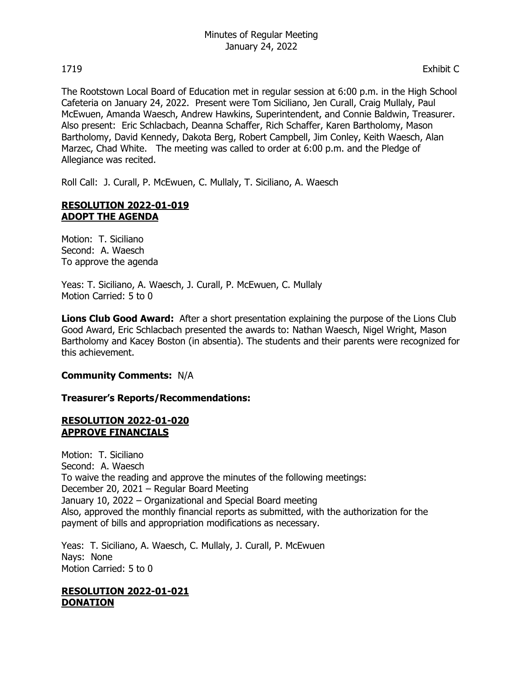The Rootstown Local Board of Education met in regular session at 6:00 p.m. in the High School Cafeteria on January 24, 2022. Present were Tom Siciliano, Jen Curall, Craig Mullaly, Paul McEwuen, Amanda Waesch, Andrew Hawkins, Superintendent, and Connie Baldwin, Treasurer. Also present: Eric Schlacbach, Deanna Schaffer, Rich Schaffer, Karen Bartholomy, Mason Bartholomy, David Kennedy, Dakota Berg, Robert Campbell, Jim Conley, Keith Waesch, Alan Marzec, Chad White. The meeting was called to order at 6:00 p.m. and the Pledge of Allegiance was recited.

Roll Call: J. Curall, P. McEwuen, C. Mullaly, T. Siciliano, A. Waesch

# **RESOLUTION 2022-01-019 ADOPT THE AGENDA**

Motion: T. Siciliano Second: A. Waesch To approve the agenda

Yeas: T. Siciliano, A. Waesch, J. Curall, P. McEwuen, C. Mullaly Motion Carried: 5 to 0

**Lions Club Good Award:** After a short presentation explaining the purpose of the Lions Club Good Award, Eric Schlacbach presented the awards to: Nathan Waesch, Nigel Wright, Mason Bartholomy and Kacey Boston (in absentia). The students and their parents were recognized for this achievement.

# **Community Comments:** N/A

## **Treasurer's Reports/Recommendations:**

### **RESOLUTION 2022-01-020 APPROVE FINANCIALS**

Motion: T. Siciliano Second: A. Waesch To waive the reading and approve the minutes of the following meetings: December 20, 2021 – Regular Board Meeting January 10, 2022 – Organizational and Special Board meeting Also, approved the monthly financial reports as submitted, with the authorization for the payment of bills and appropriation modifications as necessary.

Yeas: T. Siciliano, A. Waesch, C. Mullaly, J. Curall, P. McEwuen Nays: None Motion Carried: 5 to 0

## **RESOLUTION 2022-01-021 DONATION**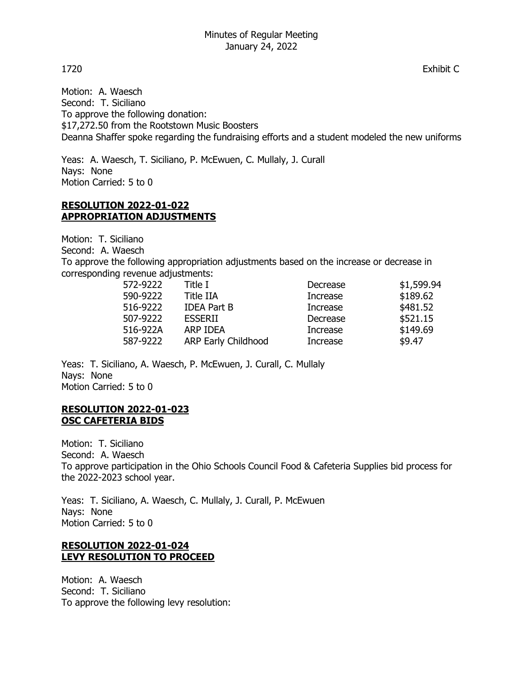Motion: A. Waesch Second: T. Siciliano To approve the following donation: \$17,272.50 from the Rootstown Music Boosters Deanna Shaffer spoke regarding the fundraising efforts and a student modeled the new uniforms

Yeas: A. Waesch, T. Siciliano, P. McEwuen, C. Mullaly, J. Curall Nays: None Motion Carried: 5 to 0

# **RESOLUTION 2022-01-022 APPROPRIATION ADJUSTMENTS**

Motion: T. Siciliano

Second: A. Waesch

To approve the following appropriation adjustments based on the increase or decrease in corresponding revenue adjustments:

| 572-9222 | Title I                    | Decrease | \$1,599.94 |
|----------|----------------------------|----------|------------|
| 590-9222 | <b>Title IIA</b>           | Increase | \$189.62   |
| 516-9222 | <b>IDEA Part B</b>         | Increase | \$481.52   |
| 507-9222 | <b>ESSERII</b>             | Decrease | \$521.15   |
| 516-922A | ARP IDEA                   | Increase | \$149.69   |
| 587-9222 | <b>ARP Early Childhood</b> | Increase | \$9.47     |

Yeas: T. Siciliano, A. Waesch, P. McEwuen, J. Curall, C. Mullaly Nays: None Motion Carried: 5 to 0

# **RESOLUTION 2022-01-023 OSC CAFETERIA BIDS**

Motion: T. Siciliano Second: A. Waesch To approve participation in the Ohio Schools Council Food & Cafeteria Supplies bid process for the 2022-2023 school year.

Yeas: T. Siciliano, A. Waesch, C. Mullaly, J. Curall, P. McEwuen Nays: None Motion Carried: 5 to 0

# **RESOLUTION 2022-01-024 LEVY RESOLUTION TO PROCEED**

Motion: A. Waesch Second: T. Siciliano To approve the following levy resolution:

1720 Exhibit C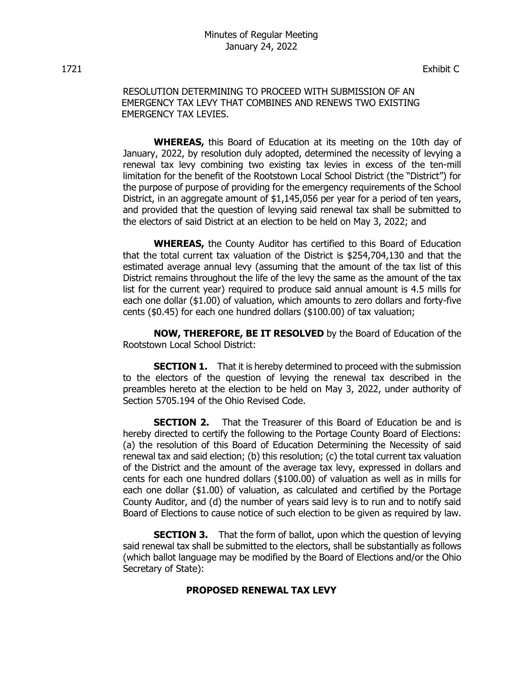1721 Exhibit C

RESOLUTION DETERMINING TO PROCEED WITH SUBMISSION OF AN EMERGENCY TAX LEVY THAT COMBINES AND RENEWS TWO EXISTING EMERGENCY TAX LEVIES.

**WHEREAS,** this Board of Education at its meeting on the 10th day of January, 2022, by resolution duly adopted, determined the necessity of levying a renewal tax levy combining two existing tax levies in excess of the ten-mill limitation for the benefit of the Rootstown Local School District (the "District") for the purpose of purpose of providing for the emergency requirements of the School District, in an aggregate amount of \$1,145,056 per year for a period of ten years, and provided that the question of levying said renewal tax shall be submitted to the electors of said District at an election to be held on May 3, 2022; and

**WHEREAS,** the County Auditor has certified to this Board of Education that the total current tax valuation of the District is \$254,704,130 and that the estimated average annual levy (assuming that the amount of the tax list of this District remains throughout the life of the levy the same as the amount of the tax list for the current year) required to produce said annual amount is 4.5 mills for each one dollar (\$1.00) of valuation, which amounts to zero dollars and forty-five cents (\$0.45) for each one hundred dollars (\$100.00) of tax valuation;

**NOW, THEREFORE, BE IT RESOLVED** by the Board of Education of the Rootstown Local School District:

**SECTION 1.** That it is hereby determined to proceed with the submission to the electors of the question of levying the renewal tax described in the preambles hereto at the election to be held on May 3, 2022, under authority of Section 5705.194 of the Ohio Revised Code.

**SECTION 2.** That the Treasurer of this Board of Education be and is hereby directed to certify the following to the Portage County Board of Elections: (a) the resolution of this Board of Education Determining the Necessity of said renewal tax and said election; (b) this resolution; (c) the total current tax valuation of the District and the amount of the average tax levy, expressed in dollars and cents for each one hundred dollars (\$100.00) of valuation as well as in mills for each one dollar (\$1.00) of valuation, as calculated and certified by the Portage County Auditor, and (d) the number of years said levy is to run and to notify said Board of Elections to cause notice of such election to be given as required by law.

**SECTION 3.** That the form of ballot, upon which the question of levying said renewal tax shall be submitted to the electors, shall be substantially as follows (which ballot language may be modified by the Board of Elections and/or the Ohio Secretary of State):

## **PROPOSED RENEWAL TAX LEVY**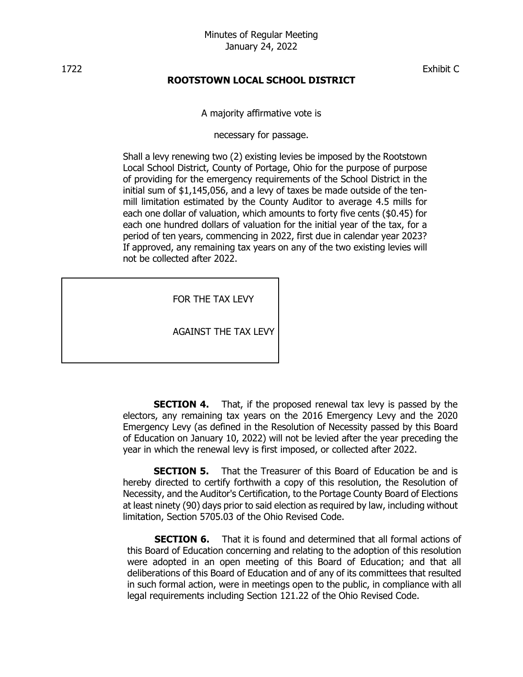1722 Exhibit C

# **ROOTSTOWN LOCAL SCHOOL DISTRICT**

A majority affirmative vote is

necessary for passage.

Shall a levy renewing two (2) existing levies be imposed by the Rootstown Local School District, County of Portage, Ohio for the purpose of purpose of providing for the emergency requirements of the School District in the initial sum of \$1,145,056, and a levy of taxes be made outside of the tenmill limitation estimated by the County Auditor to average 4.5 mills for each one dollar of valuation, which amounts to forty five cents (\$0.45) for each one hundred dollars of valuation for the initial year of the tax, for a period of ten years, commencing in 2022, first due in calendar year 2023? If approved, any remaining tax years on any of the two existing levies will not be collected after 2022.

FOR THE TAX LEVY

AGAINST THE TAX LEVY

**SECTION 4.** That, if the proposed renewal tax levy is passed by the electors, any remaining tax years on the 2016 Emergency Levy and the 2020 Emergency Levy (as defined in the Resolution of Necessity passed by this Board of Education on January 10, 2022) will not be levied after the year preceding the year in which the renewal levy is first imposed, or collected after 2022.

**SECTION 5.** That the Treasurer of this Board of Education be and is hereby directed to certify forthwith a copy of this resolution, the Resolution of Necessity, and the Auditor's Certification, to the Portage County Board of Elections at least ninety (90) days prior to said election as required by law, including without limitation, Section 5705.03 of the Ohio Revised Code.

**SECTION 6.** That it is found and determined that all formal actions of this Board of Education concerning and relating to the adoption of this resolution were adopted in an open meeting of this Board of Education; and that all deliberations of this Board of Education and of any of its committees that resulted in such formal action, were in meetings open to the public, in compliance with all legal requirements including Section 121.22 of the Ohio Revised Code.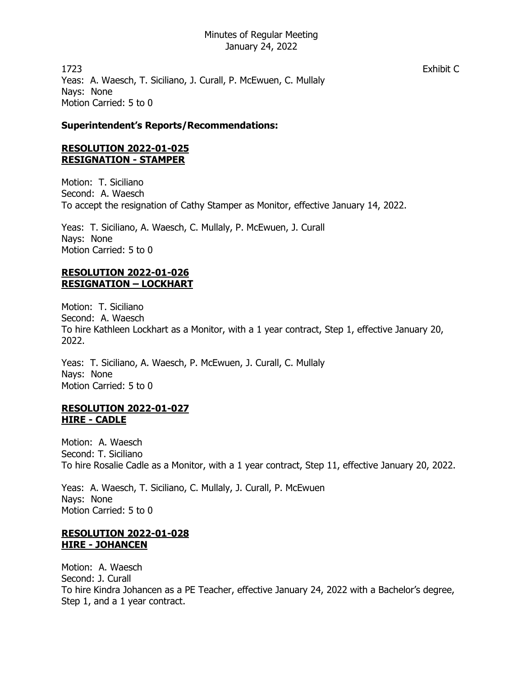1723 Exhibit C Yeas: A. Waesch, T. Siciliano, J. Curall, P. McEwuen, C. Mullaly Nays: None Motion Carried: 5 to 0

## **Superintendent's Reports/Recommendations:**

## **RESOLUTION 2022-01-025 RESIGNATION - STAMPER**

Motion: T. Siciliano Second: A. Waesch To accept the resignation of Cathy Stamper as Monitor, effective January 14, 2022.

Yeas: T. Siciliano, A. Waesch, C. Mullaly, P. McEwuen, J. Curall Nays: None Motion Carried: 5 to 0

# **RESOLUTION 2022-01-026 RESIGNATION – LOCKHART**

Motion: T. Siciliano Second: A. Waesch To hire Kathleen Lockhart as a Monitor, with a 1 year contract, Step 1, effective January 20, 2022.

Yeas: T. Siciliano, A. Waesch, P. McEwuen, J. Curall, C. Mullaly Nays: None Motion Carried: 5 to 0

### **RESOLUTION 2022-01-027 HIRE - CADLE**

Motion: A. Waesch Second: T. Siciliano To hire Rosalie Cadle as a Monitor, with a 1 year contract, Step 11, effective January 20, 2022.

Yeas: A. Waesch, T. Siciliano, C. Mullaly, J. Curall, P. McEwuen Nays: None Motion Carried: 5 to 0

# **RESOLUTION 2022-01-028 HIRE - JOHANCEN**

Motion: A. Waesch Second: J. Curall To hire Kindra Johancen as a PE Teacher, effective January 24, 2022 with a Bachelor's degree, Step 1, and a 1 year contract.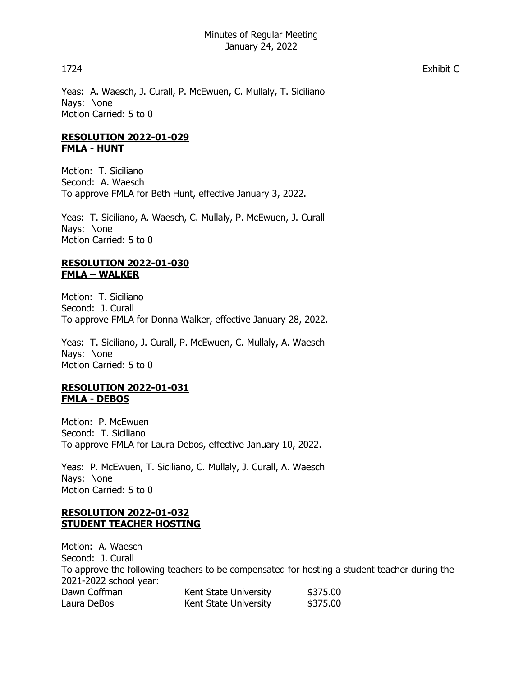Yeas: A. Waesch, J. Curall, P. McEwuen, C. Mullaly, T. Siciliano Nays: None Motion Carried: 5 to 0

# **RESOLUTION 2022-01-029 FMLA - HUNT**

Motion: T. Siciliano Second: A. Waesch To approve FMLA for Beth Hunt, effective January 3, 2022.

Yeas: T. Siciliano, A. Waesch, C. Mullaly, P. McEwuen, J. Curall Nays: None Motion Carried: 5 to 0

## **RESOLUTION 2022-01-030 FMLA – WALKER**

Motion: T. Siciliano Second: J. Curall To approve FMLA for Donna Walker, effective January 28, 2022.

Yeas: T. Siciliano, J. Curall, P. McEwuen, C. Mullaly, A. Waesch Nays: None Motion Carried: 5 to 0

## **RESOLUTION 2022-01-031 FMLA - DEBOS**

Motion: P. McEwuen Second: T. Siciliano To approve FMLA for Laura Debos, effective January 10, 2022.

Yeas: P. McEwuen, T. Siciliano, C. Mullaly, J. Curall, A. Waesch Nays: None Motion Carried: 5 to 0

# **RESOLUTION 2022-01-032 STUDENT TEACHER HOSTING**

Motion: A. Waesch Second: J. Curall To approve the following teachers to be compensated for hosting a student teacher during the 2021-2022 school year: Dawn Coffman Kent State University \$375.00 Laura DeBos **Kent State University** \$375.00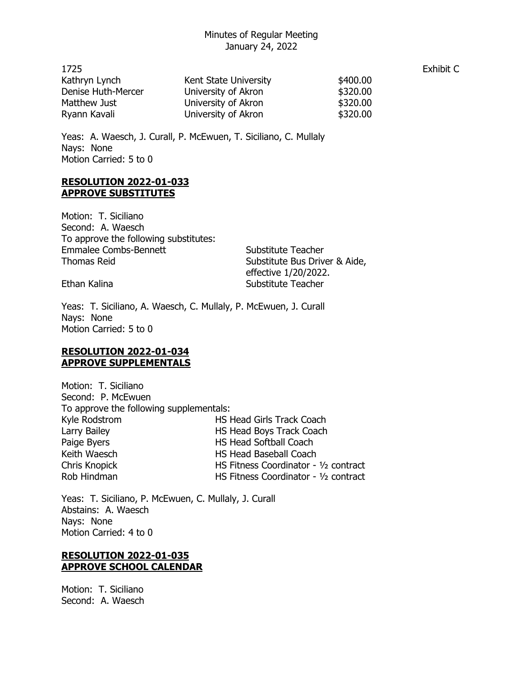| 1725               |                       |          | Exhibit C |
|--------------------|-----------------------|----------|-----------|
| Kathryn Lynch      | Kent State University | \$400.00 |           |
| Denise Huth-Mercer | University of Akron   | \$320.00 |           |
| Matthew Just       | University of Akron   | \$320.00 |           |
| Ryann Kavali       | University of Akron   | \$320.00 |           |

Yeas: A. Waesch, J. Curall, P. McEwuen, T. Siciliano, C. Mullaly Nays: None Motion Carried: 5 to 0

### **RESOLUTION 2022-01-033 APPROVE SUBSTITUTES**

Motion: T. Siciliano Second: A. Waesch To approve the following substitutes: Emmalee Combs-Bennett Substitute Teacher Thomas Reid **Substitute Bus Driver & Aide,** 

effective 1/20/2022. Ethan Kalina Substitute Teacher

Yeas: T. Siciliano, A. Waesch, C. Mullaly, P. McEwuen, J. Curall Nays: None Motion Carried: 5 to 0

## **RESOLUTION 2022-01-034 APPROVE SUPPLEMENTALS**

Motion: T. Siciliano Second: P. McEwuen To approve the following supplementals: Kyle Rodstrom **HS Head Girls Track Coach** Larry Bailey **HS Head Boys Track Coach** Paige Byers **HS Head Softball Coach** Keith Waesch **HS Head Baseball Coach** Chris Knopick HS Fitness Coordinator - ½ contract Rob Hindman **HS Fitness Coordinator - 1/2 contract** 

Yeas: T. Siciliano, P. McEwuen, C. Mullaly, J. Curall Abstains: A. Waesch Nays: None Motion Carried: 4 to 0

## **RESOLUTION 2022-01-035 APPROVE SCHOOL CALENDAR**

Motion: T. Siciliano Second: A. Waesch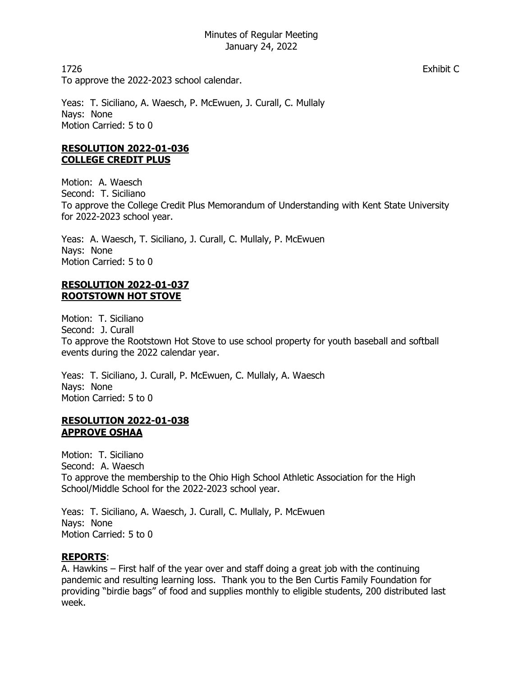1726 Exhibit C To approve the 2022-2023 school calendar.

Yeas: T. Siciliano, A. Waesch, P. McEwuen, J. Curall, C. Mullaly Nays: None Motion Carried: 5 to 0

# **RESOLUTION 2022-01-036 COLLEGE CREDIT PLUS**

Motion: A. Waesch Second: T. Siciliano To approve the College Credit Plus Memorandum of Understanding with Kent State University for 2022-2023 school year.

Yeas: A. Waesch, T. Siciliano, J. Curall, C. Mullaly, P. McEwuen Nays: None Motion Carried: 5 to 0

# **RESOLUTION 2022-01-037 ROOTSTOWN HOT STOVE**

Motion: T. Siciliano Second: J. Curall To approve the Rootstown Hot Stove to use school property for youth baseball and softball events during the 2022 calendar year.

Yeas: T. Siciliano, J. Curall, P. McEwuen, C. Mullaly, A. Waesch Nays: None Motion Carried: 5 to 0

# **RESOLUTION 2022-01-038 APPROVE OSHAA**

Motion: T. Siciliano Second: A. Waesch To approve the membership to the Ohio High School Athletic Association for the High School/Middle School for the 2022-2023 school year.

Yeas: T. Siciliano, A. Waesch, J. Curall, C. Mullaly, P. McEwuen Nays: None Motion Carried: 5 to 0

# **REPORTS**:

A. Hawkins – First half of the year over and staff doing a great job with the continuing pandemic and resulting learning loss. Thank you to the Ben Curtis Family Foundation for providing "birdie bags" of food and supplies monthly to eligible students, 200 distributed last week.